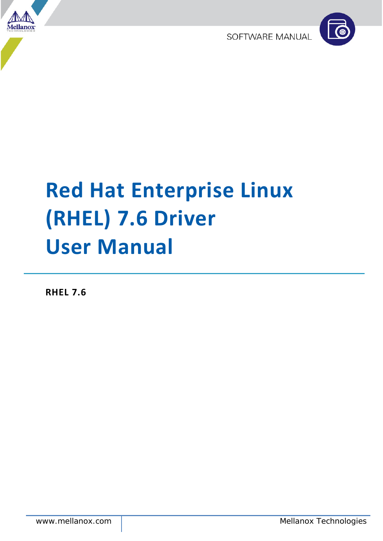

SOFTWARE MANUAL



# **Red Hat Enterprise Linux (RHEL) 7.6 Driver User Manual**

**RHEL 7.6**

www.mellanox.com Mellanox Technologies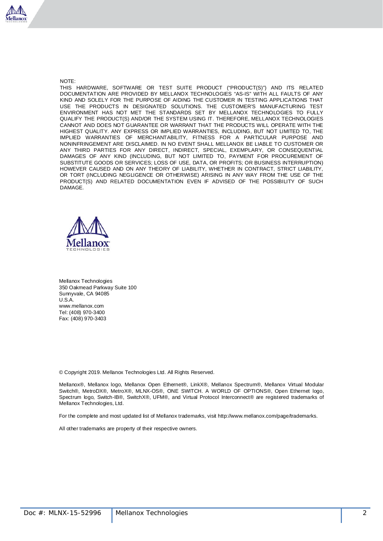

#### NOTE:

THIS HARDWARE, SOFTWARE OR TEST SUITE PRODUCT ("PRODUCT(S)") AND ITS RELATED DOCUMENTATION ARE PROVIDED BY MELLANOX TECHNOLOGIES "AS-IS" WITH ALL FAULTS OF ANY KIND AND SOLELY FOR THE PURPOSE OF AIDING THE CUSTOMER IN TESTING APPLICATIONS THAT USE THE PRODUCTS IN DESIGNATED SOLUTIONS. THE CUSTOMER'S MANUFACTURING TEST ENVIRONMENT HAS NOT MET THE STANDARDS SET BY MELLANOX TECHNOLOGIES TO FULLY QUALIFY THE PRODUCT(S) AND/OR THE SYSTEM USING IT. THEREFORE, MELLANOX TECHNOLOGIES CANNOT AND DOES NOT GUARANTEE OR WARRANT THAT THE PRODUCTS WILL OPERATE WITH THE HIGHEST QUALITY. ANY EXPRESS OR IMPLIED WARRANTIES, INCLUDING, BUT NOT LIMITED TO, THE IMPLIED WARRANTIES OF MERCHANTABILITY, FITNESS FOR A PARTICULAR PURPOSE AND NONINFRINGEMENT ARE DISCLAIMED. IN NO EVENT SHALL MELLANOX BE LIABLE TO CUSTOMER OR ANY THIRD PARTIES FOR ANY DIRECT, INDIRECT, SPECIAL, EXEMPLARY, OR CONSEQUENTIAL DAMAGES OF ANY KIND (INCLUDING, BUT NOT LIMITED TO, PAYMENT FOR PROCUREMENT OF SUBSTITUTE GOODS OR SERVICES; LOSS OF USE, DATA, OR PROFITS; OR BUSINESS INTERRUPTION) HOWEVER CAUSED AND ON ANY THEORY OF LIABILITY, WHETHER IN CONTRACT, STRICT LIABILITY, OR TORT (INCLUDING NEGLIGENCE OR OTHERWISE) ARISING IN ANY WAY FROM THE USE OF THE PRODUCT(S) AND RELATED DOCUMENTATION EVEN IF ADVISED OF THE POSSIBILITY OF SUCH DAMAGE.



Mellanox Technologies 350 Oakmead Parkway Suite 100 Sunnyvale, CA 94085 U.S.A. www.mellanox.com Tel: (408) 970-3400 Fax: (408) 970-3403

© Copyright 2019. Mellanox Technologies Ltd. All Rights Reserved.

Mellanox®, Mellanox logo, Mellanox Open Ethernet®, LinkX®, Mellanox Spectrum®, Mellanox Virtual Modular Switch®, MetroDX®, MetroX®, MLNX-OS®, ONE SWITCH. A WORLD OF OPTIONS®, Open Ethernet logo, Spectrum logo, Switch-IB®, SwitchX®, UFM®, and Virtual Protocol Interconnect® are registered trademarks of Mellanox Technologies, Ltd.

For the complete and most updated list of Mellanox trademarks, visit http://www.mellanox.com/page/trademarks.

All other trademarks are property of their respective owners.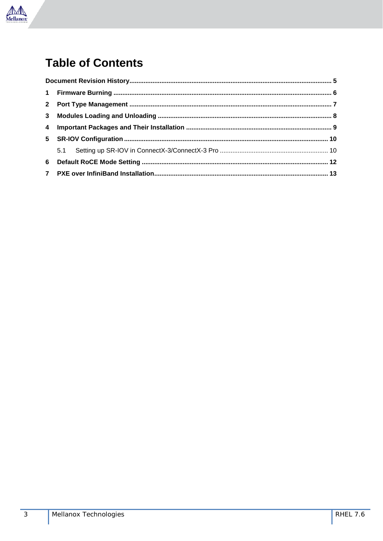

# **Table of Contents**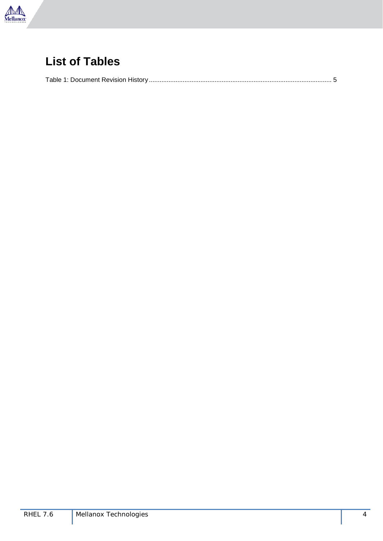

## **List of Tables**

|--|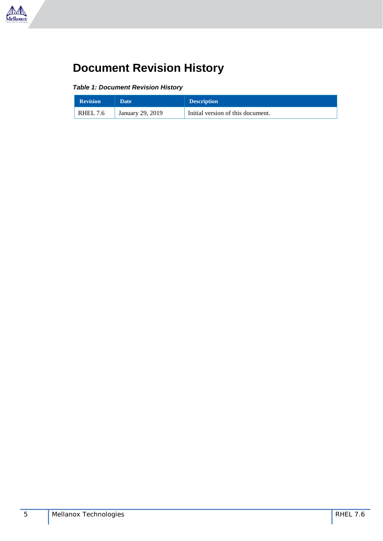

# <span id="page-4-0"></span>**Document Revision History**

<span id="page-4-1"></span>*Table 1: Document Revision History*

| <b>Revision</b> | Date <sup>1</sup> | <b>Description</b>                |
|-----------------|-------------------|-----------------------------------|
| <b>RHEL 7.6</b> | January 29, 2019  | Initial version of this document. |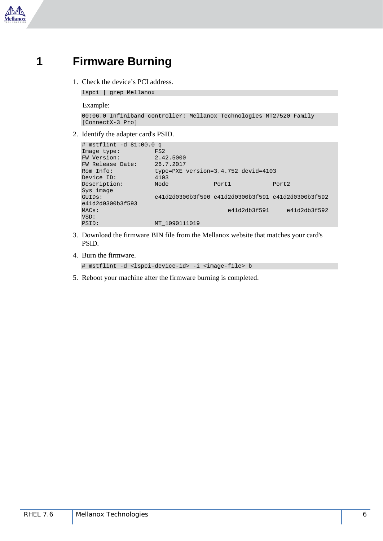

### <span id="page-5-0"></span>**1 Firmware Burning**

1. Check the device's PCI address.

lspci | grep Mellanox

Example:

```
00:06.0 Infiniband controller: Mellanox Technologies MT27520 Family 
[ConnectX-3 Pro]
```
2. Identify the adapter card's PSID.

```
# mstflint -d 81:00.0 q
Image type: FS2<br>FW Version: 2.42.5000
FW Version: 2.42.5000<br>FW Release Date: 26.7.2017
FW Release Date:<br>Rom Info:
                       type=PXE version=3.4.752 devid=4103<br>4103
Device ID: 4103<br>Description: Node
Description: Node Port1 Port2
Sys image<br>GUIDs:
                        GUIDs: e41d2d0300b3f590 e41d2d0300b3f591 e41d2d0300b3f592 
e41d2d0300b3f593<br>MACs:
                                                 e41d2db3f591 e41d2db3f592
VSD:<br>PSID:
                        MT_1090111019
```
- 3. Download the firmware BIN file from the Mellanox website that matches your card's PSID.
- 4. Burn the firmware.

```
# mstflint -d <lspci-device-id> -i <image-file> b
```
5. Reboot your machine after the firmware burning is completed.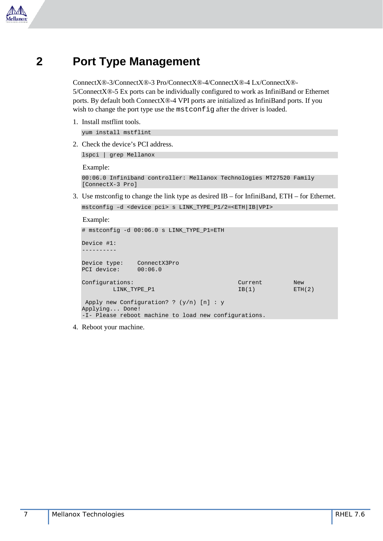

#### <span id="page-6-0"></span>**2 Port Type Management**

ConnectX®-3/ConnectX®-3 Pro/ConnectX®-4/ConnectX®-4 Lx/ConnectX®- 5/ConnectX®-5 Ex ports can be individually configured to work as InfiniBand or Ethernet ports. By default both ConnectX®-4 VPI ports are initialized as InfiniBand ports. If you wish to change the port type use the mstconfig after the driver is loaded.

1. Install mstflint tools.

yum install mstflint

2. Check the device's PCI address.

lspci | grep Mellanox

Example:

```
00:06.0 Infiniband controller: Mellanox Technologies MT27520 Family 
[ConnectX-3 Pro]
```
3. Use mstconfig to change the link type as desired IB – for InfiniBand, ETH – for Ethernet.

```
mstconfig –d <device pci> s LINK_TYPE_P1/2=<ETH|IB|VPI>
```
Example:

```
# mstconfig -d 00:06.0 s LINK_TYPE_P1=ETH
Device #1:
----------
Device type: ConnectX3Pro<br>PCI device: 00:06.0
PCI device:
Configurations: Current New New (2)<br>
LINK TYPE P1 (2) LINK TYPE P1 (2) LINK TYPE P1 (2)
          LINK_TYPE_P1
Apply new Configuration? ? (y/n) [n] : y
Applying... Done!
-I- Please reboot machine to load new configurations.
```
4. Reboot your machine.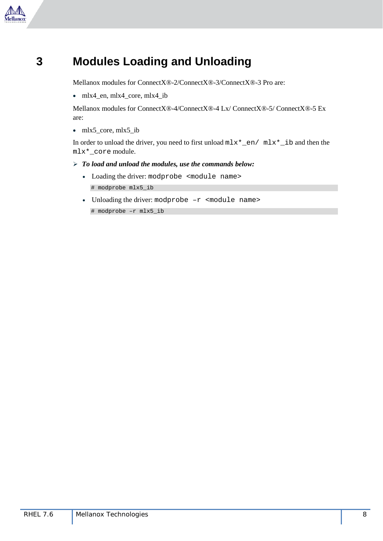

## <span id="page-7-0"></span>**3 Modules Loading and Unloading**

Mellanox modules for ConnectX®-2/ConnectX®-3/ConnectX®-3 Pro are:

• mlx4 en, mlx4 core, mlx4 ib

Mellanox modules for ConnectX®-4/ConnectX®-4 Lx/ ConnectX®-5/ ConnectX®-5 Ex are:

• mlx5 core, mlx5 ib

In order to unload the driver, you need to first unload mlx\*\_en/ mlx\*\_ib and then the mlx\*\_core module.

#### *To load and unload the modules, use the commands below:*

- Loading the driver: modprobe <module name> # modprobe mlx5\_ib
- Unloading the driver: modprobe -r <module name>

# modprobe –r mlx5\_ib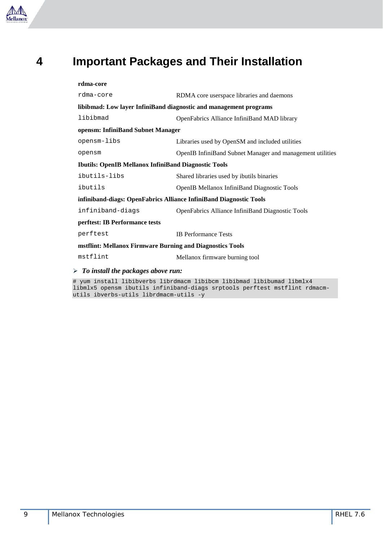

#### <span id="page-8-0"></span>**4 Important Packages and Their Installation**

#### **rdma-core**

| rdma-core                                                          | RDMA core userspace libraries and daemons                 |  |  |  |  |
|--------------------------------------------------------------------|-----------------------------------------------------------|--|--|--|--|
| libibmad: Low layer InfiniBand diagnostic and management programs  |                                                           |  |  |  |  |
| libibmad                                                           | OpenFabrics Alliance InfiniBand MAD library               |  |  |  |  |
| opensm: InfiniBand Subnet Manager                                  |                                                           |  |  |  |  |
| opensm-libs                                                        | Libraries used by OpenSM and included utilities           |  |  |  |  |
| opensm                                                             | OpenIB InfiniBand Subnet Manager and management utilities |  |  |  |  |
| <b>Ibutils: OpenIB Mellanox InfiniBand Diagnostic Tools</b>        |                                                           |  |  |  |  |
| ibutils-libs                                                       | Shared libraries used by ibutils binaries                 |  |  |  |  |
| ibutils                                                            | <b>OpenIB Mellanox InfiniBand Diagnostic Tools</b>        |  |  |  |  |
| infiniband-diags: OpenFabrics Alliance InfiniBand Diagnostic Tools |                                                           |  |  |  |  |
| infiniband-diags                                                   | OpenFabrics Alliance InfiniBand Diagnostic Tools          |  |  |  |  |
| perftest: IB Performance tests                                     |                                                           |  |  |  |  |
| perftest                                                           | <b>IB</b> Performance Tests                               |  |  |  |  |
| mstflint: Mellanox Firmware Burning and Diagnostics Tools          |                                                           |  |  |  |  |
| mstflint                                                           | Mellanox firmware burning tool                            |  |  |  |  |
| $\triangleright$ To install the packages above run:                |                                                           |  |  |  |  |
|                                                                    |                                                           |  |  |  |  |

# yum install libibverbs librdmacm libibcm libibmad libibumad libmlx4 libmlx5 opensm ibutils infiniband-diags srptools perftest mstflint rdmacmutils ibverbs-utils librdmacm-utils -y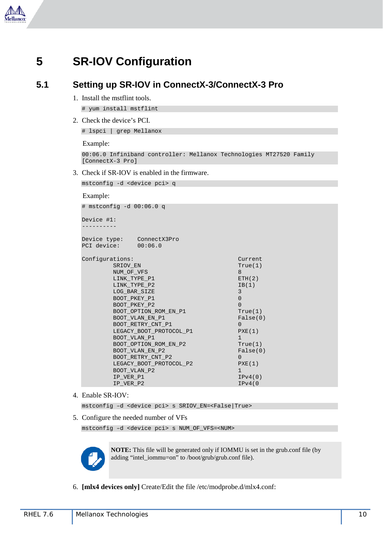

#### <span id="page-9-0"></span>**5 SR-IOV Configuration**

#### <span id="page-9-1"></span>**5.1 Setting up SR-IOV in ConnectX-3/ConnectX-3 Pro**

1. Install the mstflint tools.

# yum install mstflint

2. Check the device's PCI.

# lspci | grep Mellanox

Example:

```
00:06.0 Infiniband controller: Mellanox Technologies MT27520 Family 
[ConnectX-3 Pro]
```
3. Check if SR-IOV is enabled in the firmware.

mstconfig -d <device pci> q

#### Example:

| # mstconfig -d 00:06.0 q                                                                                                                                                                                                                                                                                                                                       |                                                                                                                                                                                                                    |
|----------------------------------------------------------------------------------------------------------------------------------------------------------------------------------------------------------------------------------------------------------------------------------------------------------------------------------------------------------------|--------------------------------------------------------------------------------------------------------------------------------------------------------------------------------------------------------------------|
| Device #1:                                                                                                                                                                                                                                                                                                                                                     |                                                                                                                                                                                                                    |
| Device type: ConnectX3Pro<br>PCI device: 00:06.0                                                                                                                                                                                                                                                                                                               |                                                                                                                                                                                                                    |
| Configurations:<br>SRIOV EN<br>NUM OF VFS<br>LINK TYPE P1<br>LINK TYPE P2<br>LOG BAR SIZE<br>BOOT PKEY P1<br>BOOT PKEY P2<br>BOOT OPTION ROM EN P1<br>BOOT VLAN EN P1<br>BOOT RETRY CNT P1<br>LEGACY BOOT PROTOCOL P1<br>BOOT VLAN P1<br>BOOT OPTION ROM EN P2<br>BOOT VLAN EN P2<br>BOOT RETRY CNT P2<br>LEGACY BOOT PROTOCOL P2<br>BOOT VLAN P2<br>IP VER P1 | Current<br>True(1)<br>8<br>ETH(2)<br>IB(1)<br>3<br>$\overline{0}$<br>$\Omega$<br>True(1)<br>False(0)<br>$\Omega$<br>PXE(1)<br>$\mathbf{1}$<br>True(1)<br>False(0)<br>$\Omega$<br>PXE(1)<br>$\mathbf{1}$<br>IPv4(0) |
| IP VER P2                                                                                                                                                                                                                                                                                                                                                      | IPv4(0                                                                                                                                                                                                             |

4. Enable SR-IOV:

mstconfig –d <device pci> s SRIOV\_EN=<False|True>

5. Configure the needed number of VFs

mstconfig –d <device pci> s NUM\_OF\_VFS=<NUM>



**NOTE:** This file will be generated only if IOMMU is set in the grub.conf file (by adding "intel\_iommu=on" to /boot/grub/grub.conf file).

6. **[mlx4 devices only]** Create/Edit the file /etc/modprobe.d/mlx4.conf: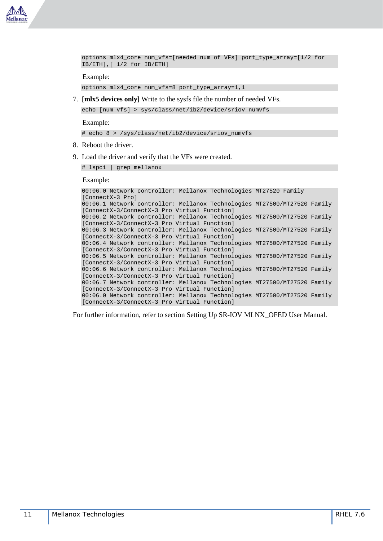

```
options mlx4_core num_vfs=[needed num of VFs] port_type_array=[1/2 for 
IB/ETH],[ 1/2 for IB/ETH]
```
Example:

options mlx4\_core num\_vfs=8 port\_type\_array=1,1

7. **[mlx5 devices only]** Write to the sysfs file the number of needed VFs.

echo [num\_vfs] > sys/class/net/ib2/device/sriov\_numvfs

Example:

# echo 8 > /sys/class/net/ib2/device/sriov\_numvfs

- 8. Reboot the driver.
- 9. Load the driver and verify that the VFs were created.

# lspci | grep mellanox

Example:

```
00:06.0 Network controller: Mellanox Technologies MT27520 Family 
[ConnectX-3 Pro]
00:06.1 Network controller: Mellanox Technologies MT27500/MT27520 Family 
[ConnectX-3/ConnectX-3 Pro Virtual Function]
00:06.2 Network controller: Mellanox Technologies MT27500/MT27520 Family 
[ConnectX-3/ConnectX-3 Pro Virtual Function]
00:06.3 Network controller: Mellanox Technologies MT27500/MT27520 Family 
[ConnectX-3/ConnectX-3 Pro Virtual Function]
00:06.4 Network controller: Mellanox Technologies MT27500/MT27520 Family 
[ConnectX-3/ConnectX-3 Pro Virtual Function]
00:06.5 Network controller: Mellanox Technologies MT27500/MT27520 Family 
[ConnectX-3/ConnectX-3 Pro Virtual Function]
00:06.6 Network controller: Mellanox Technologies MT27500/MT27520 Family 
[ConnectX-3/ConnectX-3 Pro Virtual Function]
00:06.7 Network controller: Mellanox Technologies MT27500/MT27520 Family 
[ConnectX-3/ConnectX-3 Pro Virtual Function]
00:06.0 Network controller: Mellanox Technologies MT27500/MT27520 Family 
[ConnectX-3/ConnectX-3 Pro Virtual Function]
```
For further information, refer to section Setting Up SR-IOV MLNX\_OFED User Manual.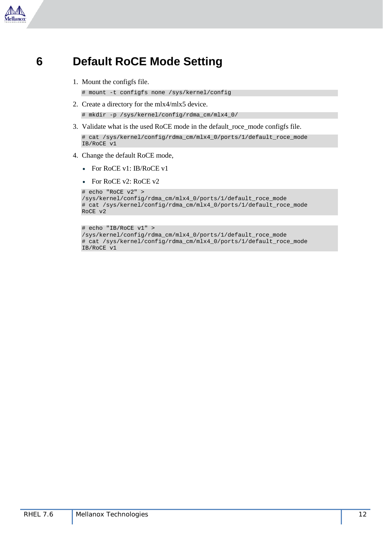

### <span id="page-11-0"></span>**6 Default RoCE Mode Setting**

1. Mount the configfs file.

# mount -t configfs none /sys/kernel/config

2. Create a directory for the mlx4/mlx5 device.

# mkdir -p /sys/kernel/config/rdma\_cm/mlx4\_0/

3. Validate what is the used RoCE mode in the default\_roce\_mode configfs file.

```
# cat /sys/kernel/config/rdma_cm/mlx4_0/ports/1/default_roce_mode
IB/RoCE v1
```
- 4. Change the default RoCE mode,
	- For RoCE v1: IB/RoCE v1
	- For RoCE v2: RoCE v2

```
# echo "RoCE v2" > 
/sys/kernel/config/rdma_cm/mlx4_0/ports/1/default_roce_mode
# cat /sys/kernel/config/rdma_cm/mlx4_0/ports/1/default_roce_mode
RoCE v2
```

```
# echo "IB/RoCE v1" > 
/sys/kernel/config/rdma_cm/mlx4_0/ports/1/default_roce_mode
# cat /sys/kernel/config/rdma_cm/mlx4_0/ports/1/default_roce_mode
IB/RoCE v1
```